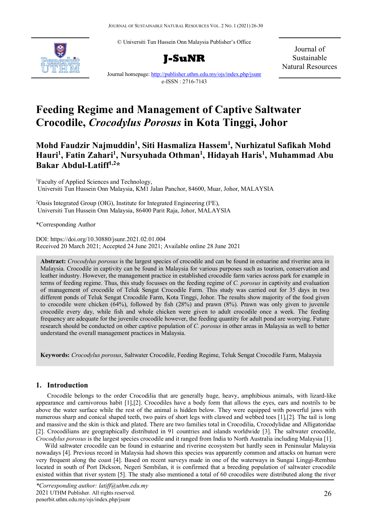© Universiti Tun Hussein Onn Malaysia Publisher's Office





Journal of Sustainable Natural Resources

Journal homepage:<http://publisher.uthm.edu.my/ojs/index.php/jsunr> e-ISSN : 2716-7143

# **Feeding Regime and Management of Captive Saltwater Crocodile,** *Crocodylus Porosus* **in Kota Tinggi, Johor**

# **Mohd Faudzir Najmuddin1 , Siti Hasmaliza Hassem1 , Nurhizatul Safikah Mohd Hauri1 , Fatin Zahari1 , Nursyuhada Othman1 , Hidayah Haris1 , Muhammad Abu Bakar Abdul-Latiff1,2\***

1 Faculty of Applied Sciences and Technology, Universiti Tun Hussein Onn Malaysia, KM1 Jalan Panchor, 84600, Muar, Johor, MALAYSIA

<sup>2</sup>Oasis Integrated Group (OIG), Institute for Integrated Engineering (I<sup>2</sup>E), Universiti Tun Hussein Onn Malaysia, 86400 Parit Raja, Johor, MALAYSIA

\*Corresponding Author

DOI: https://doi.org/10.30880/jsunr.2021.02.01.004 Received 20 March 2021; Accepted 24 June 2021; Available online 28 June 2021

**Abstract:** *Crocodylus porosus* is the largest species of crocodile and can be found in estuarine and riverine area in Malaysia. Crocodile in captivity can be found in Malaysia for various purposes such as tourism, conservation and leather industry. However, the management practice in established crocodile farm varies across park for example in terms of feeding regime. Thus, this study focusses on the feeding regime of *C. porosus* in captivity and evaluation of management of crocodile of Teluk Sengat Crocodile Farm. This study was carried out for 35 days in two different ponds of Teluk Sengat Crocodile Farm, Kota Tinggi, Johor. The results show majority of the food given to crocodile were chicken (64%), followed by fish (28%) and prawn (8%). Prawn was only given to juvenile crocodile every day, while fish and whole chicken were given to adult crocodile once a week. The feeding frequency are adequate for the juvenile crocodile however, the feeding quantity for adult pond are worrying. Future research should be conducted on other captive population of *C. porosus* in other areas in Malaysia as well to better understand the overall management practices in Malaysia.

**Keywords:** *Crocodylus porosus*, Saltwater Crocodile, Feeding Regime, Teluk Sengat Crocodile Farm, Malaysia

# **1. Introduction**

Crocodile belongs to the order Crocodilia that are generally huge, heavy, amphibious animals, with lizard-like appearance and carnivorous habit [1],[2]. Crocodiles have a body form that allows the eyes, ears and nostrils to be above the water surface while the rest of the animal is hidden below. They were equipped with powerful jaws with numerous sharp and conical shaped teeth, two pairs of short legs with clawed and webbed toes [1],[2]. The tail is long and massive and the skin is thick and plated. There are two families total in Crocodilia, Crocodylidae and Alligatoridae [2]. Crocodilians are geographically distributed in 91 countries and islands worldwide [3]. The saltwater crocodile, *Crocodylus porosus* is the largest species crocodile and it ranged from India to North Australia including Malaysia [1].

Wild saltwater crocodile can be found in estuarine and riverine ecosystem but hardly seen in Peninsular Malaysia nowadays [4]. Previous record in Malaysia had shown this species was apparently common and attacks on human were very frequent along the coast [4]. Based on recent surveys made in one of the waterways in Sungai Linggi-Rembau located in south of Port Dickson, Negeri Sembilan, it is confirmed that a breeding population of saltwater crocodile existed within that river system [5]. The study also mentioned a total of 60 crocodiles were distributed along the river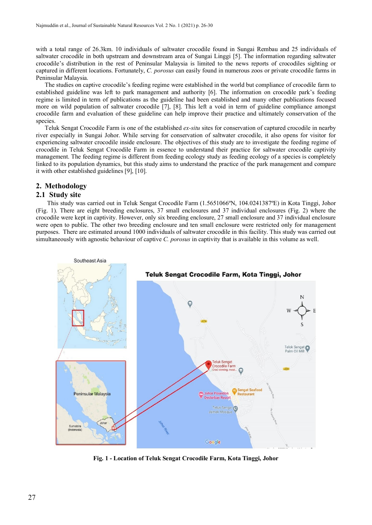with a total range of 26.3km. 10 individuals of saltwater crocodile found in Sungai Rembau and 25 individuals of saltwater crocodile in both upstream and downstream area of Sungai Linggi [5]. The information regarding saltwater crocodile's distribution in the rest of Peninsular Malaysia is limited to the news reports of crocodiles sighting or captured in different locations. Fortunately, *C. porosus* can easily found in numerous zoos or private crocodile farms in Peninsular Malaysia.

The studies on captive crocodile's feeding regime were established in the world but compliance of crocodile farm to established guideline was left to park management and authority [6]. The information on crocodile park's feeding regime is limited in term of publications as the guideline had been established and many other publications focused more on wild population of saltwater crocodile [7], [8]. This left a void in term of guideline compliance amongst crocodile farm and evaluation of these guideline can help improve their practice and ultimately conservation of the species.

Teluk Sengat Crocodile Farm is one of the established *ex-situ* sites for conservation of captured crocodile in nearby river especially in Sungai Johor. While serving for conservation of saltwater crocodile, it also opens for visitor for experiencing saltwater crocodile inside enclosure. The objectives of this study are to investigate the feeding regime of crocodile in Teluk Sengat Crocodile Farm in essence to understand their practice for saltwater crocodile captivity management. The feeding regime is different from feeding ecology study as feeding ecology of a species is completely linked to its population dynamics, but this study aims to understand the practice of the park management and compare it with other established guidelines [9], [10].

# **2. Methodology**

# **2.1 Study site**

This study was carried out in Teluk Sengat Crocodile Farm (1.5651066ºN, 104.0241387ºE) in Kota Tinggi, Johor (Fig. 1). There are eight breeding enclosures, 37 small enclosures and 37 individual enclosures (Fig. 2) where the crocodile were kept in captivity. However, only six breeding enclosure, 27 small enclosure and 37 individual enclosure were open to public. The other two breeding enclosure and ten small enclosure were restricted only for management purposes. There are estimated around 1000 individuals of saltwater crocodile in this facility. This study was carried out simultaneously with agnostic behaviour of captive *C. porosus* in captivity that is available in this volume as well.



**Fig. 1 - Location of Teluk Sengat Crocodile Farm, Kota Tinggi, Johor**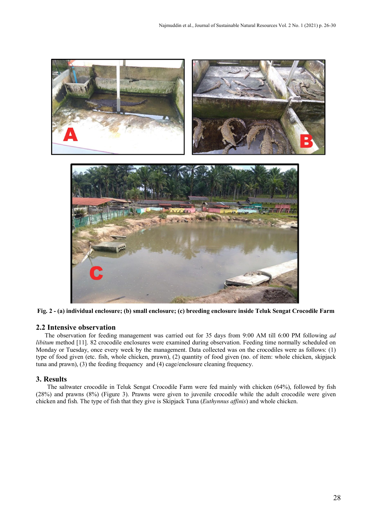

**Fig. 2 - (a) individual enclosure; (b) small enclosure; (c) breeding enclosure inside Teluk Sengat Crocodile Farm**

# **2.2 Intensive observation**

The observation for feeding management was carried out for 35 days from 9:00 AM till 6:00 PM following *ad libitum* method [11]. 82 crocodile enclosures were examined during observation. Feeding time normally scheduled on Monday or Tuesday, once every week by the management. Data collected was on the crocodiles were as follows: (1) type of food given (etc. fish, whole chicken, prawn), (2) quantity of food given (no. of item: whole chicken, skipjack tuna and prawn), (3) the feeding frequency and (4) cage/enclosure cleaning frequency.

# **3. Results**

The saltwater crocodile in Teluk Sengat Crocodile Farm were fed mainly with chicken (64%), followed by fish (28%) and prawns (8%) (Figure 3). Prawns were given to juvenile crocodile while the adult crocodile were given chicken and fish. The type of fish that they give is Skipjack Tuna (*Euthynnus affinis*) and whole chicken.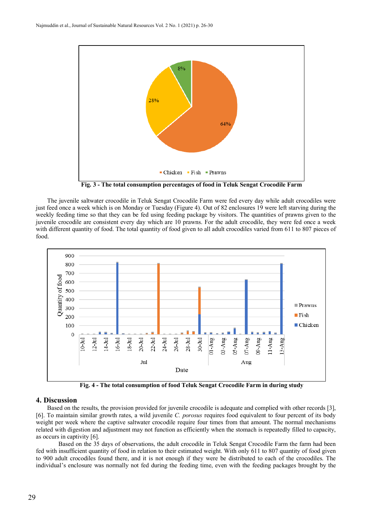

**Fig. 3 - The total consumption percentages of food in Teluk Sengat Crocodile Farm**

The juvenile saltwater crocodile in Teluk Sengat Crocodile Farm were fed every day while adult crocodiles were just feed once a week which is on Monday or Tuesday (Figure 4). Out of 82 enclosures 19 were left starving during the weekly feeding time so that they can be fed using feeding package by visitors. The quantities of prawns given to the juvenile crocodile are consistent every day which are 10 prawns. For the adult crocodile, they were fed once a week with different quantity of food. The total quantity of food given to all adult crocodiles varied from 611 to 807 pieces of food.



**Fig. 4 - The total consumption of food Teluk Sengat Crocodile Farm in during study**

#### **4. Discussion**

Based on the results, the provision provided for juvenile crocodile is adequate and complied with other records [3], [6]. To maintain similar growth rates, a wild juvenile *C. porosus* requires food equivalent to four percent of its body weight per week where the captive saltwater crocodile require four times from that amount. The normal mechanisms related with digestion and adjustment may not function as efficiently when the stomach is repeatedly filled to capacity, as occurs in captivity [6].

Based on the 35 days of observations, the adult crocodile in Teluk Sengat Crocodile Farm the farm had been fed with insufficient quantity of food in relation to their estimated weight. With only 611 to 807 quantity of food given to 900 adult crocodiles found there, and it is not enough if they were be distributed to each of the crocodiles. The individual's enclosure was normally not fed during the feeding time, even with the feeding packages brought by the